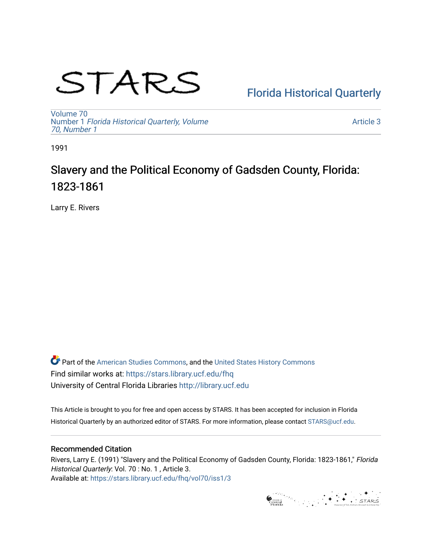# STARS

## [Florida Historical Quarterly](https://stars.library.ucf.edu/fhq)

[Volume 70](https://stars.library.ucf.edu/fhq/vol70) Number 1 [Florida Historical Quarterly, Volume](https://stars.library.ucf.edu/fhq/vol70/iss1)  [70, Number 1](https://stars.library.ucf.edu/fhq/vol70/iss1)

[Article 3](https://stars.library.ucf.edu/fhq/vol70/iss1/3) 

1991

## Slavery and the Political Economy of Gadsden County, Florida: 1823-1861

Larry E. Rivers

**C** Part of the [American Studies Commons](http://network.bepress.com/hgg/discipline/439?utm_source=stars.library.ucf.edu%2Ffhq%2Fvol70%2Fiss1%2F3&utm_medium=PDF&utm_campaign=PDFCoverPages), and the United States History Commons Find similar works at: <https://stars.library.ucf.edu/fhq> University of Central Florida Libraries [http://library.ucf.edu](http://library.ucf.edu/) 

This Article is brought to you for free and open access by STARS. It has been accepted for inclusion in Florida Historical Quarterly by an authorized editor of STARS. For more information, please contact [STARS@ucf.edu.](mailto:STARS@ucf.edu)

### Recommended Citation

Rivers, Larry E. (1991) "Slavery and the Political Economy of Gadsden County, Florida: 1823-1861," Florida Historical Quarterly: Vol. 70 : No. 1 , Article 3. Available at: [https://stars.library.ucf.edu/fhq/vol70/iss1/3](https://stars.library.ucf.edu/fhq/vol70/iss1/3?utm_source=stars.library.ucf.edu%2Ffhq%2Fvol70%2Fiss1%2F3&utm_medium=PDF&utm_campaign=PDFCoverPages) 

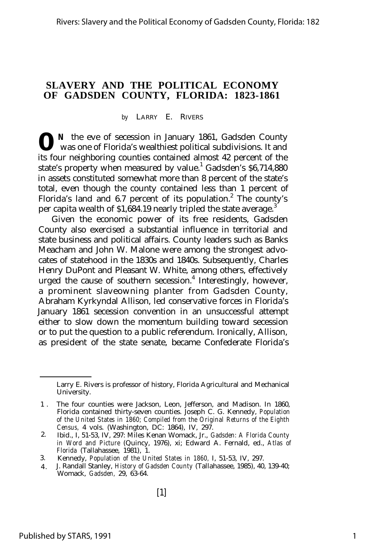#### **SLAVERY AND THE POLITICAL ECONOMY OF GADSDEN COUNTY, FLORIDA: 1823-1861**

#### *by* LARRY E. RIVERS

**0** <sup>N</sup> the eve of secession in January 1861, Gadsden County was one of Florida's wealthiest political subdivisions. It and was one of Florida's wealthiest political subdivisions. It and its four neighboring counties contained almost 42 percent of the state's property when measured by value.<sup>1</sup> Gadsden's \$6,714,880 in assets constituted somewhat more than 8 percent of the state's total, even though the county contained less than 1 percent of Florida's land and 6.7 percent of its population.<sup>2</sup> The county's per capita wealth of  $$1,684.19$  nearly tripled the state average.<sup>3</sup>

Given the economic power of its free residents, Gadsden County also exercised a substantial influence in territorial and state business and political affairs. County leaders such as Banks Meacham and John W. Malone were among the strongest advocates of statehood in the 1830s and 1840s. Subsequently, Charles Henry DuPont and Pleasant W. White, among others, effectively urged the cause of southern secession.<sup>4</sup> Interestingly, however, a prominent slaveowning planter from Gadsden County, Abraham Kyrkyndal Allison, led conservative forces in Florida's January 1861 secession convention in an unsuccessful attempt either to slow down the momentum building toward secession or to put the question to a public referendum. Ironically, Allison, as president of the state senate, became Confederate Florida's

- 3. Kennedy, *Population of the United States in 1860,* I, 51-53, IV, 297.
- 4 . J. Randall Stanley, *History of Gadsden County* (Tallahassee, 1985), 40, 139-40; Womack, *Gadsden,* 29, 63-64.

Larry E. Rivers is professor of history, Florida Agricultural and Mechanical University.

<sup>1</sup> . The four counties were Jackson, Leon, Jefferson, and Madison. In 1860, Florida contained thirty-seven counties. Joseph C. G. Kennedy, *Population of the United States in 1860; Compiled from the Original Returns of the Eighth Census,* 4 vols. (Washington, DC: 1864), IV, 297.

<sup>2.</sup> Ibid., I, 51-53, IV, 297: Miles Kenan Womack, Jr., *Gadsden: A Florida County in Word and Picture* (Quincy, 1976), xi; Edward A. Fernald, ed., *Atlas of Florida* (Tallahassee, 1981), 1.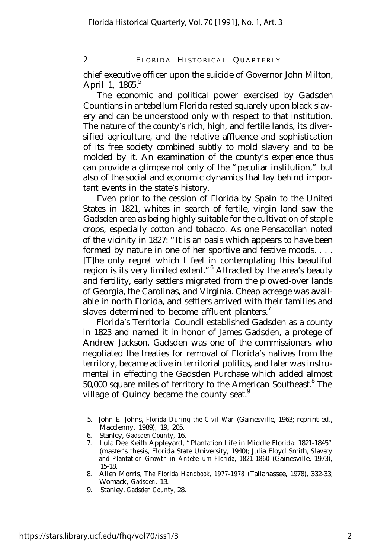chief executive officer upon the suicide of Governor John Milton, April 1,  $1865.<sup>5</sup>$ 

The economic and political power exercised by Gadsden Countians in antebellum Florida rested squarely upon black slavery and can be understood only with respect to that institution. The nature of the county's rich, high, and fertile lands, its diversified agriculture, and the relative affluence and sophistication of its free society combined subtly to mold slavery and to be molded by it. An examination of the county's experience thus can provide a glimpse not only of the "peculiar institution," but also of the social and economic dynamics that lay behind important events in the state's history.

Even prior to the cession of Florida by Spain to the United States in 1821, whites in search of fertile, virgin land saw the Gadsden area as being highly suitable for the cultivation of staple crops, especially cotton and tobacco. As one Pensacolian noted of the vicinity in 1827: "It is an oasis which appears to have been formed by nature in one of her sportive and festive moods. . . . [T]he only regret which I feel in contemplating this beautiful region is its very limited extent."<sup>6</sup> Attracted by the area's beauty and fertility, early settlers migrated from the plowed-over lands of Georgia, the Carolinas, and Virginia. Cheap acreage was available in north Florida, and settlers arrived with their families and slaves determined to become affluent planters.<sup>7</sup>

Florida's Territorial Council established Gadsden as a county in 1823 and named it in honor of James Gadsden, a protege of Andrew Jackson. Gadsden was one of the commissioners who negotiated the treaties for removal of Florida's natives from the territory, became active in territorial politics, and later was instrumental in effecting the Gadsden Purchase which added almost 50,000 square miles of territory to the American Southeast.<sup>8</sup> The village of Quincy became the county seat.<sup>9</sup>

<sup>5.</sup> John E. Johns, *Florida During the Civil War* (Gainesville, 1963; reprint ed., Macclenny, 1989), 19, 205.

<sup>6.</sup> Stanley, *Gadsden County,* 16.

<sup>7.</sup> Lula Dee Keith Appleyard, "Plantation Life in Middle Florida: 1821-1845" (master's thesis, Florida State University, 1940); Julia Floyd Smith, *Slavery and Plantation Growth in Antebellum Florida, 1821-1860* (Gainesville, 1973), 15-18.

<sup>8.</sup> Allen Morris, *The Florida Handbook, 1977-1978* (Tallahassee, 1978), 332-33; Womack, *Gadsden,* 13.

<sup>9.</sup> Stanley, *Gadsden County,* 28.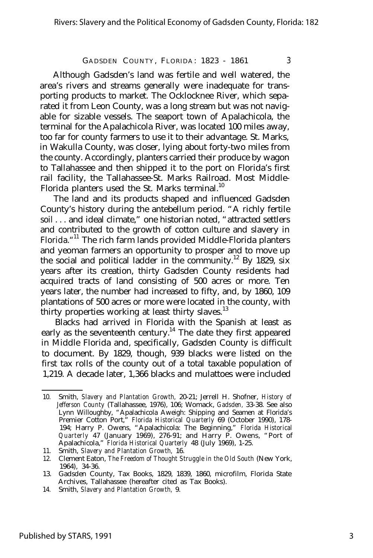Although Gadsden's land was fertile and well watered, the area's rivers and streams generally were inadequate for transporting products to market. The Ocklocknee River, which separated it from Leon County, was a long stream but was not navigable for sizable vessels. The seaport town of Apalachicola, the terminal for the Apalachicola River, was located 100 miles away, too far for county farmers to use it to their advantage. St. Marks, in Wakulla County, was closer, lying about forty-two miles from the county. Accordingly, planters carried their produce by wagon to Tallahassee and then shipped it to the port on Florida's first rail facility, the Tallahassee-St. Marks Railroad. Most Middle-Florida planters used the St. Marks terminal.<sup>10</sup>

The land and its products shaped and influenced Gadsden County's history during the antebellum period. "A richly fertile soil . . . and ideal climate," one historian noted, "attracted settlers and contributed to the growth of cotton culture and slavery in Florida."<sup>11</sup> The rich farm lands provided Middle-Florida planters and yeoman farmers an opportunity to prosper and to move up the social and political ladder in the community.<sup>12</sup> By 1829, six years after its creation, thirty Gadsden County residents had acquired tracts of land consisting of 500 acres or more. Ten years later, the number had increased to fifty, and, by 1860, 109 plantations of 500 acres or more were located in the county, with thirty properties working at least thirty slaves.<sup>13</sup>

Blacks had arrived in Florida with the Spanish at least as early as the seventeenth century.<sup>14</sup> The date they first appeared in Middle Florida and, specifically, Gadsden County is difficult to document. By 1829, though, 939 blacks were listed on the first tax rolls of the county out of a total taxable population of 1,219. A decade later, 1,366 blacks and mulattoes were included

<sup>10.</sup> Smith, *Slavery and Plantation Growth,* 20-21; Jerrell H. Shofner, *History of Jefferson County* (Tallahassee, 1976), 106; Womack, *Gadsden,* 33-38. See also Lynn Willoughby, "Apalachicola Aweigh: Shipping and Seamen at Florida's Premier Cotton Port," *Florida Historical Quarterly* 69 (October 1990), 178- 194; Harry P. Owens, "Apalachicola: The Beginning," *Florida Historical Quarterly* 47 (January 1969), 276-91; and Harry P. Owens, "Port of Apalachicola," *Florida Historical Quarterly* 48 (July 1969), 1-25.

<sup>11.</sup> Smith, *Slavery and Plantation Growth,* 16.

<sup>12.</sup> Clement Eaton, *The Freedom of Thought Struggle in the Old South* (New York, 1964), 34-36.

<sup>13.</sup> Gadsden County, Tax Books, 1829, 1839, 1860, microfilm, Florida State Archives, Tallahassee (hereafter cited as Tax Books).

<sup>14.</sup> Smith, *Slavery and Plantation Growth,* 9.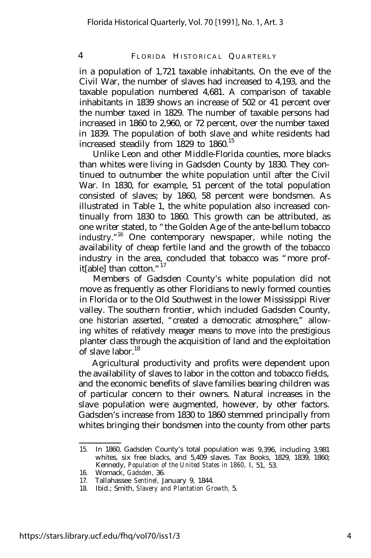in a population of 1,721 taxable inhabitants. On the eve of the Civil War, the number of slaves had increased to 4,193, and the taxable population numbered 4,681. A comparison of taxable inhabitants in 1839 shows an increase of 502 or 41 percent over the number taxed in 1829. The number of taxable persons had increased in 1860 to 2,960, or 72 percent, over the number taxed in 1839. The population of both slave and white residents had increased steadily from  $1829$  to  $1860.<sup>15</sup>$ 

Unlike Leon and other Middle-Florida counties, more blacks than whites were living in Gadsden County by 1830. They continued to outnumber the white population until after the Civil War. In 1830, for example, 51 percent of the total population consisted of slaves; by 1860, 58 percent were bondsmen. As illustrated in Table 1, the white population also increased continually from 1830 to 1860. This growth can be attributed, as one writer stated, to "the Golden Age of the ante-bellum tobacco industry." <sup>16</sup> One contemporary newspaper, while noting the availability of cheap fertile land and the growth of the tobacco industry in the area, concluded that tobacco was "more profit[able] than cotton."<sup>17</sup>

Members of Gadsden County's white population did not move as frequently as other Floridians to newly formed counties in Florida or to the Old Southwest in the lower Mississippi River valley. The southern frontier, which included Gadsden County, one historian asserted, "created a democratic atmosphere," allowing whites of relatively meager means to move into the prestigious planter class through the acquisition of land and the exploitation of slave labor. $18$ 

Agricultural productivity and profits were dependent upon the availability of slaves to labor in the cotton and tobacco fields, and the economic benefits of slave families bearing children was of particular concern to their owners. Natural increases in the slave population were augmented, however, by other factors. Gadsden's increase from 1830 to 1860 stemmed principally from whites bringing their bondsmen into the county from other parts

<sup>15.</sup> In 1860, Gadsden County's total population was 9,396, including 3,981 whites, six free blacks, and 5,409 slaves. Tax Books, 1829, 1839, 1860; Kennedy, *Population of the United States in 1860,* I, 51, 53.

<sup>16.</sup> Womack, *Gadsden,* 36.

<sup>17.</sup> Tallahassee *Sentinel,* January 9, 1844.

<sup>18.</sup> Ibid.; Smith, *Slavery and Plantation Growth,* 5.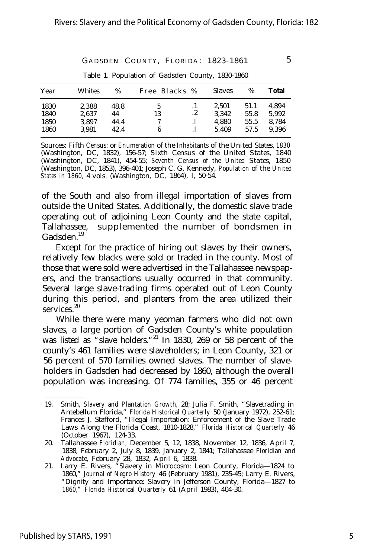| Year                         | Whites                           | %                          | Free Blacks % |    | <b>Slaves</b>                    | %                            | Total                            |
|------------------------------|----------------------------------|----------------------------|---------------|----|----------------------------------|------------------------------|----------------------------------|
| 1830<br>1840<br>1850<br>1860 | 2.388<br>2.637<br>3.897<br>3.981 | 48.8<br>44<br>44.4<br>42.4 | Ć<br>13<br>6  | .2 | 2.501<br>3.342<br>4.880<br>5.409 | 51.1<br>55.8<br>55.5<br>57.5 | 4.894<br>5.992<br>8.784<br>9.396 |

Table 1. Population of Gadsden County, 1830-1860

Sources: *Fifth Census;* or *Enumeration of the Inhabitants of the United* States, *1830* (Washington, DC, 1832), 156-57; *Sixth Census of the United States, 1840* (Washington, DC, 1841), 454-55; *Seventh Census of the United States, 1850* (Washington, DC, 1853), 396-401; Joseph C. G. Kennedy, *Population of the United States in 1860,* 4 vols. (Washington, DC, 1864), I, 50-54.

of the South and also from illegal importation of slaves from outside the United States. Additionally, the domestic slave trade operating out of adjoining Leon County and the state capital, Tallahassee, supplemented the number of bondsmen in Gadsden.<sup>19</sup>

Except for the practice of hiring out slaves by their owners, relatively few blacks were sold or traded in the county. Most of those that were sold were advertised in the Tallahassee newspapers, and the transactions usually occurred in that community. Several large slave-trading firms operated out of Leon County during this period, and planters from the area utilized their services.<sup>20</sup>

While there were many yeoman farmers who did not own slaves, a large portion of Gadsden County's white population was listed as "slave holders."<sup>21</sup> In 1830, 269 or 58 percent of the county's 461 families were slaveholders; in Leon County, 321 or 56 percent of 570 families owned slaves. The number of slaveholders in Gadsden had decreased by 1860, although the overall population was increasing. Of 774 families, 355 or 46 percent

<sup>19.</sup> Smith, *Slavery and Plantation Growth,* 28; Julia F. Smith, "Slavetrading in Antebellum Florida," *Florida Historical Quarterly* 50 (January 1972), 252-61; Frances J. Stafford, "Illegal Importation: Enforcement of the Slave Trade Laws Along the Florida Coast, 1810-1828," *Florida Historical Quarterly* 46 (October 1967), 124-33.

<sup>20.</sup> Tallahassee *Floridian,* December 5, 12, 1838, November 12, 1836, April 7, 1838, February 2, July 8, 1839, January 2, 1841; Tallahassee *Floridian and Advocate,* February 28, 1832, April 6, 1838.

<sup>21.</sup> Larry E. Rivers, "Slavery in Microcosm: Leon County, Florida— 1824 to 1860," *Journal of Negro History* 46 (February 1981), 235-45; Larry E. Rivers, "Dignity and Importance: Slavery in Jefferson County, Florida— 1827 to *1860," Florida Historical Quarterly* 61 (April 1983), 404-30.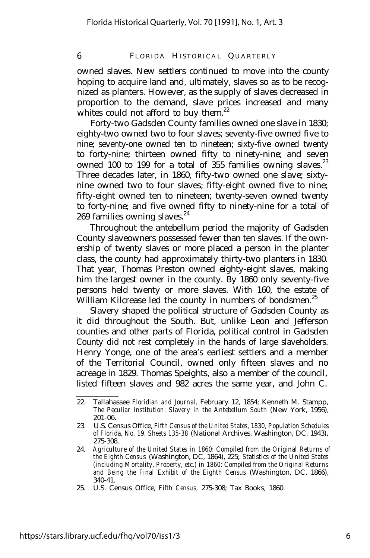owned slaves. New settlers continued to move into the county hoping to acquire land and, ultimately, slaves so as to be recognized as planters. However, as the supply of slaves decreased in proportion to the demand, slave prices increased and many whites could not afford to buy them. $22$ 

Forty-two Gadsden County families owned one slave in 1830; eighty-two owned two to four slaves; seventy-five owned five to nine; seventy-one owned ten to nineteen; sixty-five owned twenty to forty-nine; thirteen owned fifty to ninety-nine; and seven owned 100 to 199 for a total of 355 families owning slaves.<sup>23</sup> Three decades later, in 1860, fifty-two owned one slave; sixtynine owned two to four slaves; fifty-eight owned five to nine; fifty-eight owned ten to nineteen; twenty-seven owned twenty to forty-nine; and five owned fifty to ninety-nine for a total of 269 families owning slaves.<sup>24</sup>

Throughout the antebellum period the majority of Gadsden County slaveowners possessed fewer than ten slaves. If the ownership of twenty slaves or more placed a person in the planter class, the county had approximately thirty-two planters in 1830. That year, Thomas Preston owned eighty-eight slaves, making him the largest owner in the county. By 1860 only seventy-five persons held twenty or more slaves. With 160, the estate of William Kilcrease led the county in numbers of bondsmen.<sup>25</sup>

Slavery shaped the political structure of Gadsden County as it did throughout the South. But, unlike Leon and Jefferson counties and other parts of Florida, political control in Gadsden County did not rest completely in the hands of large slaveholders. Henry Yonge, one of the area's earliest settlers and a member of the Territorial Council, owned only fifteen slaves and no acreage in 1829. Thomas Speights, also a member of the council, listed fifteen slaves and 982 acres the same year, and John C.

<sup>22.</sup> Tallahassee *Floridian and Journal,* February 12, 1854; Kenneth M. Stampp, *The Peculiar Institution: Slavery in the Antebellum South* (New York, 1956), 201-06.

<sup>23.</sup> U.S. Census Office, *Fifth Census of the United States, 1830, Population Schedules of Florida, No. 19, Sheets 135-38* (National Archives, Washington, DC, 1943), 275-308.

<sup>24.</sup> *Agriculture of the United States in 1860: Compiled from the Original Returns of the Eighth Census* (Washington, DC, 1864), 225; *Statistics of the United States (including Mortality, Property, etc.) in 1860: Compiled from the Original Returns and Being the Final Exhibit of the Eighth Census* (Washington, DC, 1866), 340-41.

<sup>25.</sup> U.S. Census Office, *Fifth Census,* 275-308; Tax Books, 1860.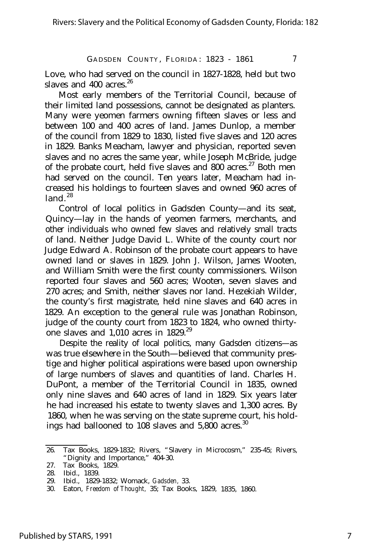Love, who had served on the council in 1827-1828, held but two slaves and  $400$  acres.<sup>26</sup>

Most early members of the Territorial Council, because of their limited land possessions, cannot be designated as planters. Many were yeomen farmers owning fifteen slaves or less and between 100 and 400 acres of land. James Dunlop, a member of the council from 1829 to 1830, listed five slaves and 120 acres in 1829. Banks Meacham, lawyer and physician, reported seven slaves and no acres the same year, while Joseph McBride, judge of the probate court, held five slaves and  $800$  acres.<sup>27</sup> Both men had served on the council. Ten years later, Meacham had increased his holdings to fourteen slaves and owned 960 acres of land  $28$ 

Control of local politics in Gadsden County— and its seat, Quincy— lay in the hands of yeomen farmers, merchants, and other individuals who owned few slaves and relatively small tracts of land. Neither Judge David L. White of the county court nor Judge Edward A. Robinson of the probate court appears to have owned land or slaves in 1829. John J. Wilson, James Wooten, and William Smith were the first county commissioners. Wilson reported four slaves and 560 acres; Wooten, seven slaves and 270 acres; and Smith, neither slaves nor land. Hezekiah Wilder, the county's first magistrate, held nine slaves and 640 acres in 1829. An exception to the general rule was Jonathan Robinson, judge of the county court from 1823 to 1824, who owned thirtyone slaves and  $1,010$  acres in  $1829.^{29}$ 

Despite the reality of local politics, many Gadsden citizens— as was true elsewhere in the South— believed that community prestige and higher political aspirations were based upon ownership of large numbers of slaves and quantities of land. Charles H. DuPont, a member of the Territorial Council in 1835, owned only nine slaves and 640 acres of land in 1829. Six years later he had increased his estate to twenty slaves and 1,300 acres. By 1860, when he was serving on the state supreme court, his holdings had ballooned to  $108$  slaves and  $5,800$  acres.<sup>30</sup>

<sup>26.</sup> Tax Books, 1829-1832; Rivers, "Slavery in Microcosm," 235-45; Rivers, "Dignity and Importance," 404-30.

<sup>27.</sup> Tax Books, 1829.

<sup>28.</sup> Ibid., 1839.

<sup>29.</sup> Ibid., 1829-1832; Womack, *Gadsden,* 33.

<sup>30.</sup> Eaton, *Freedom of Thought,* 35; Tax Books, 1829, 1835, 1860.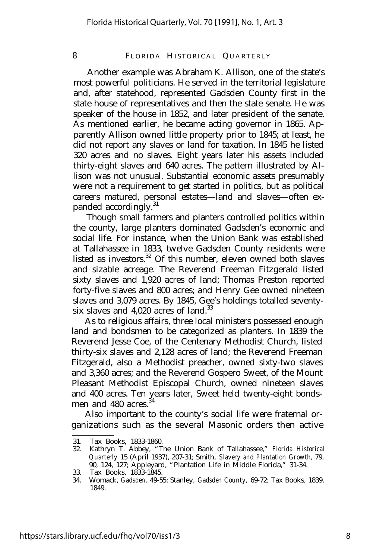Another example was Abraham K. Allison, one of the state's most powerful politicians. He served in the territorial legislature and, after statehood, represented Gadsden County first in the state house of representatives and then the state senate. He was speaker of the house in 1852, and later president of the senate. As mentioned earlier, he became acting governor in 1865. Apparently Allison owned little property prior to 1845; at least, he did not report any slaves or land for taxation. In 1845 he listed 320 acres and no slaves. Eight years later his assets included thirty-eight slaves and 640 acres. The pattern illustrated by Allison was not unusual. Substantial economic assets presumably were not a requirement to get started in politics, but as political careers matured, personal estates— land and slaves— often expanded accordingly.<sup>31</sup>

Though small farmers and planters controlled politics within the county, large planters dominated Gadsden's economic and social life. For instance, when the Union Bank was established at Tallahassee in 1833, twelve Gadsden County residents were listed as investors.<sup>32</sup> Of this number, eleven owned both slaves and sizable acreage. The Reverend Freeman Fitzgerald listed sixty slaves and 1,920 acres of land; Thomas Preston reported forty-five slaves and 800 acres; and Henry Gee owned nineteen slaves and 3,079 acres. By 1845, Gee's holdings totalled seventysix slaves and  $4.020$  acres of land.<sup>33</sup>

As to religious affairs, three local ministers possessed enough land and bondsmen to be categorized as planters. In 1839 the Reverend Jesse Coe, of the Centenary Methodist Church, listed thirty-six slaves and 2,128 acres of land; the Reverend Freeman Fitzgerald, also a Methodist preacher, owned sixty-two slaves and 3,360 acres; and the Reverend Gospero Sweet, of the Mount Pleasant Methodist Episcopal Church, owned nineteen slaves and 400 acres. Ten years later, Sweet held twenty-eight bondsmen and 480 acres.<sup>34</sup>

Also important to the county's social life were fraternal organizations such as the several Masonic orders then active

<sup>31.</sup> Tax Books, 1833-1860.

<sup>32.</sup> Kathryn T. Abbey, "The Union Bank of Tallahassee," *Florida Historical Quarterly* 15 (April 1937), 207-31; Smith, *Slavery and Plantation Growth,* 79, 90, 124, 127; Appleyard, "Plantation Life in Middle Florida," 31-34.

<sup>33.</sup> Tax Books, 1833-1845.

<sup>34.</sup> Womack, *Gadsden,* 49-55; Stanley, *Gadsden County,* 69-72; Tax Books, 1839, 1849.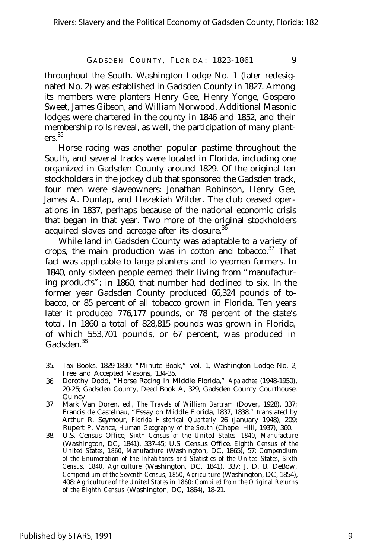throughout the South. Washington Lodge No. 1 (later redesignated No. 2) was established in Gadsden County in 1827. Among its members were planters Henry Gee, Henry Yonge, Gospero Sweet, James Gibson, and William Norwood. Additional Masonic lodges were chartered in the county in 1846 and 1852, and their membership rolls reveal, as well, the participation of many plant $ers^3$ 

Horse racing was another popular pastime throughout the South, and several tracks were located in Florida, including one organized in Gadsden County around 1829. Of the original ten stockholders in the jockey club that sponsored the Gadsden track, four men were slaveowners: Jonathan Robinson, Henry Gee, James A. Dunlap, and Hezekiah Wilder. The club ceased operations in 1837, perhaps because of the national economic crisis that began in that year. Two more of the original stockholders acquired slaves and acreage after its closure.<sup>36</sup>

While land in Gadsden County was adaptable to a variety of crops, the main production was in cotton and tobacco.<sup>37</sup> That fact was applicable to large planters and to yeomen farmers. In 1840, only sixteen people earned their living from "manufacturing products"; in 1860, that number had declined to six. In the former year Gadsden County produced 66,324 pounds of tobacco, or 85 percent of all tobacco grown in Florida. Ten years later it produced 776,177 pounds, or 78 percent of the state's total. In 1860 a total of 828,815 pounds was grown in Florida, of which 553,701 pounds, or 67 percent, was produced in Gadsden<sup>38</sup>

<sup>35.</sup> Tax Books, 1829-1830; "Minute Book," vol. 1, Washington Lodge No. 2, Free and Accepted Masons, 134-35.

<sup>36.</sup> Dorothy Dodd, "Horse Racing in Middle Florida," *Apalachee* (1948-1950), 20-25; Gadsden County, Deed Book A, 329, Gadsden County Courthouse, Quincy.

<sup>37.</sup> Mark Van Doren, ed., *The Travels of William Bartram* (Dover, 1928), 337; Francis de Castelnau, "Essay on Middle Florida, 1837, 1838," translated by Arthur R. Seymour, *Florida Historical Quarterly* 26 (January 1948), 209; Rupert P. Vance, *Human Geography of the South* (Chapel Hill, 1937), 360.

<sup>38.</sup> U.S. Census Office, *Sixth Census of the United States, 1840, Manufacture* (Washington, DC, 1841), 337-45; U.S. Census Office, *Eighth Census of the United States, 1860, Manufacture* (Washington, DC, 1865), 57; *Compendium of the Enumeration of the Inhabitants and Statistics of the United States, Sixth Census, 1840, Agriculture* (Washington, DC, 1841), 337; J. D. B. DeBow, *Compendium of the Seventh Census, 1850, Agriculture* (Washington, DC, 1854), 408; *Agriculture of the United States in 1860: Compiled from the Original Returns of the Eighth Census* (Washington, DC, 1864), 18-21.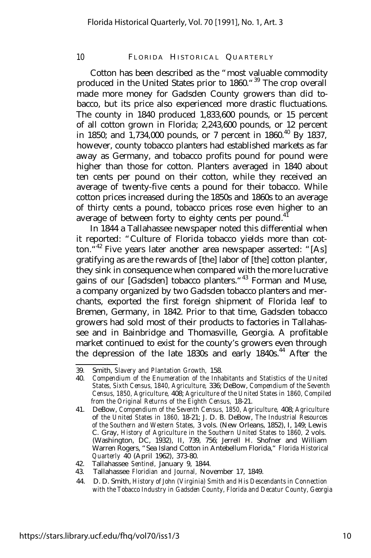Cotton has been described as the "most valuable commodity produced in the United States prior to 1860."<sup>39</sup> The crop overall made more money for Gadsden County growers than did tobacco, but its price also experienced more drastic fluctuations. The county in 1840 produced 1,833,600 pounds, or 15 percent of all cotton grown in Florida; 2,243,600 pounds, or 12 percent in 1850; and  $1.734,000$  pounds, or 7 percent in 1860.<sup>40</sup> By 1837, however, county tobacco planters had established markets as far away as Germany, and tobacco profits pound for pound were higher than those for cotton. Planters averaged in 1840 about ten cents per pound on their cotton, while they received an average of twenty-five cents a pound for their tobacco. While cotton prices increased during the 1850s and 1860s to an average of thirty cents a pound, tobacco prices rose even higher to an average of between forty to eighty cents per pound.<sup>41</sup>

In 1844 a Tallahassee newspaper noted this differential when it reported: "Culture of Florida tobacco yields more than cotton.<sup>"42</sup> Five years later another area newspaper asserted: "[As] gratifying as are the rewards of [the] labor of [the] cotton planter, they sink in consequence when compared with the more lucrative gains of our [Gadsden] tobacco planters."<sup>43</sup> Forman and Muse, a company organized by two Gadsden tobacco planters and merchants, exported the first foreign shipment of Florida leaf to Bremen, Germany, in 1842. Prior to that time, Gadsden tobacco growers had sold most of their products to factories in Tallahassee and in Bainbridge and Thomasville, Georgia. A profitable market continued to exist for the county's growers even through the depression of the late 1830s and early 1840s.<sup>44</sup> After the

<sup>39.</sup> Smith, *Slavery and Plantation Growth,* 158.

<sup>40.</sup> *Compendium of the Enumeration of the Inhabitants and Statistics of the United States, Sixth Census, 1840, Agriculture,* 336; DeBow, *Compendium of the Seventh Census, 1850, Agriculture,* 408; *Agriculture of the United States in 1860, Compiled from the Original Returns of the Eighth Census,* 18-21.

<sup>41.</sup> DeBow, *Compendium of the Seventh Census, 1850, Agriculture,* 408; *Agriculture* of *the United States in 1860,* 18-21; J. D. B. DeBow, *The Industrial Resources of the Southern and Western States,* 3 vols. (New Orleans, 1852), I, 149; Lewis C. Gray, *History of Agriculture in the Southern United States to 1860,* 2 vols. (Washington, DC, 1932), II, 739, 756; Jerrell H. Shofner and William Warren Rogers, "Sea Island Cotton in Antebellum Florida," *Florida Historical Quarterly* 40 (April 1962), 373-80.

<sup>42.</sup> Tallahassee *Sentinel,* January 9, 1844.

<sup>43.</sup> Tallahassee *Floridian and Journal,* November 17, 1849.

<sup>44.</sup> D. D. Smith, *History of John (Virginia) Smith and His Descendants in Connection with the Tobacco Industry in Gadsden County, Florida and Decatur County, Georgia*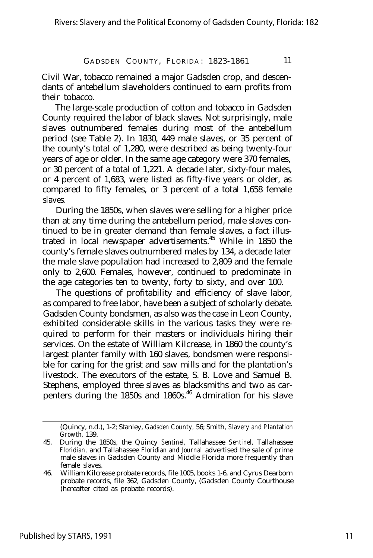Civil War, tobacco remained a major Gadsden crop, and descendants of antebellum slaveholders continued to earn profits from their tobacco.

The large-scale production of cotton and tobacco in Gadsden County required the labor of black slaves. Not surprisingly, male slaves outnumbered females during most of the antebellum period (see Table 2). In 1830, 449 male slaves, or 35 percent of the county's total of 1,280, were described as being twenty-four years of age or older. In the same age category were 370 females, or 30 percent of a total of 1,221. A decade later, sixty-four males, or 4 percent of 1,683, were listed as fifty-five years or older, as compared to fifty females, or 3 percent of a total 1,658 female slaves.

During the 1850s, when slaves were selling for a higher price than at any time during the antebellum period, male slaves continued to be in greater demand than female slaves, a fact illustrated in local newspaper advertisements.<sup>45</sup> While in 1850 the county's female slaves outnumbered males by 134, a decade later the male slave population had increased to 2,809 and the female only to 2,600. Females, however, continued to predominate in the age categories ten to twenty, forty to sixty, and over 100.

The questions of profitability and efficiency of slave labor, as compared to free labor, have been a subject of scholarly debate. Gadsden County bondsmen, as also was the case in Leon County, exhibited considerable skills in the various tasks they were required to perform for their masters or individuals hiring their services. On the estate of William Kilcrease, in 1860 the county's largest planter family with 160 slaves, bondsmen were responsible for caring for the grist and saw mills and for the plantation's livestock. The executors of the estate, S. B. Love and Samuel B. Stephens, employed three slaves as blacksmiths and two as carpenters during the 1850s and 1860s.<sup>46</sup> Admiration for his slave

<sup>(</sup>Quincy, n.d.), 1-2; Stanley, *Gadsden County,* 56; Smith, *Slavery and Plantation Growth,* 139.

<sup>45.</sup> During the 1850s, the Quincy *Sentinel,* Tallahassee *Sentinel,* Tallahassee *Floridian,* and Tallahassee *Floridian and Journal* advertised the sale of prime male slaves in Gadsden County and Middle Florida more frequently than female slaves.

<sup>46.</sup> William Kilcrease probate records, file 1005, books 1-6, and Cyrus Dearborn probate records, file 362, Gadsden County, (Gadsden County Courthouse (hereafter cited as probate records).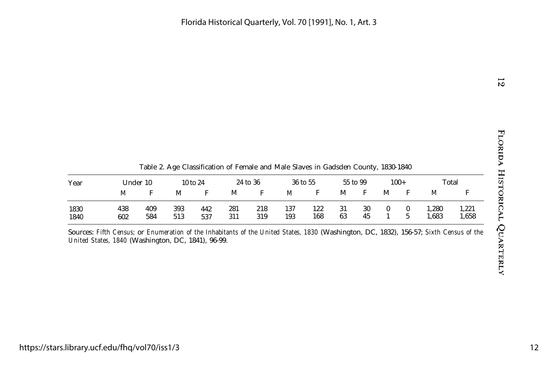$\overline{5}$ 

Table 2. Age Classification of Female and Male Slaves in Gadsden County, 1830-1840

| Year         | Under 10   |            | 10 to 24   |            | 24 to 36   |            | 36 to 55   |            | 55 to 99 |          | $100+$ |  | Total          |                |
|--------------|------------|------------|------------|------------|------------|------------|------------|------------|----------|----------|--------|--|----------------|----------------|
|              | М          |            | М          |            | М          |            | M          |            | M        | E        | М      |  | M              |                |
| 1830<br>1840 | 438<br>602 | 409<br>584 | 393<br>513 | 442<br>537 | 281<br>311 | 218<br>319 | 137<br>193 | 122<br>168 | 31<br>63 | 30<br>45 |        |  | 1,280<br>1,683 | 1,221<br>1,658 |

Sources: *Fifth Census;* or *Enumeration of the Inhabitants of the United States, 1830* (Washington, DC, 1832), 156-57; *Sixth Census of the United States, 1840* (Washington, DC, 1841), 96-99.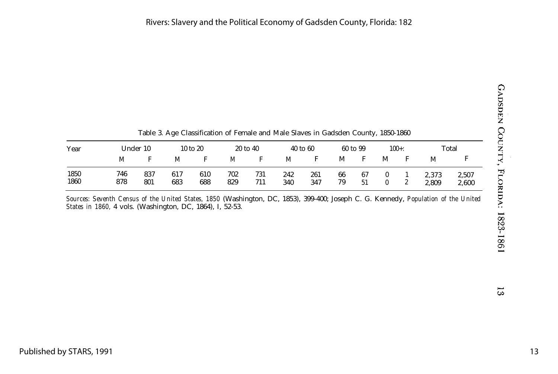| ここにくしく             |  |
|--------------------|--|
| くく                 |  |
| ・ しょく・・・・          |  |
| V. 10701<br>ļ<br>ı |  |

|              |            |            | Table 3. Age Classification of Female and Male Slaves in Gadsden County, 1850-1860 |            |                     |            |              |            |          |          |          |              |                |                |
|--------------|------------|------------|------------------------------------------------------------------------------------|------------|---------------------|------------|--------------|------------|----------|----------|----------|--------------|----------------|----------------|
| Year         | Under 10   |            | $10 \text{ to } 20$                                                                |            | $20 \text{ to } 40$ |            | $40$ to $60$ |            | 60 to 99 |          | $100 +:$ |              | Total          |                |
|              | M          |            | M                                                                                  | F          | M                   | F          | M            | F          | М        | F        | М        | F            | М              |                |
| 1850<br>1860 | 746<br>878 | 837<br>801 | 617<br>683                                                                         | 610<br>688 | 702<br>829          | 731<br>711 | 242<br>340   | 261<br>347 | 66<br>79 | 67<br>51 |          | $\mathbf{2}$ | 2.373<br>2.809 | 2,507<br>2,600 |

Table 3. Age Classification of Female and Male Slaves in Gadsden County, 1850-1860

*Sources: Seventh Census of the United States, 1850* (Washington, DC, 1853), 399-400; Joseph C. G. Kennedy, *Population of the United States in 1860,* 4 vols. (Washington, DC, 1864), I, 52-53.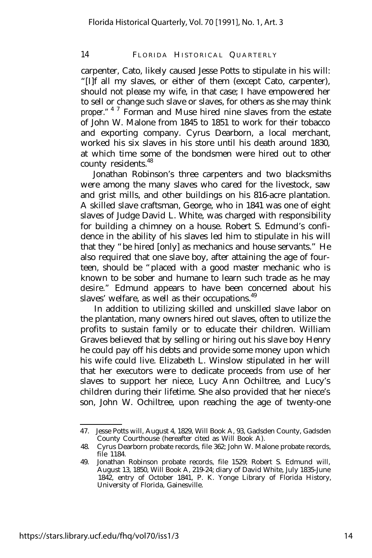carpenter, Cato, likely caused Jesse Potts to stipulate in his will: "[I]f all my slaves, or either of them (except Cato, carpenter), should not please my wife, in that case; I have empowered her to sell or change such slave or slaves, for others as she may think proper."<sup>47</sup> Forman and Muse hired nine slaves from the estate of John W. Malone from 1845 to 1851 to work for their tobacco and exporting company. Cyrus Dearborn, a local merchant, worked his six slaves in his store until his death around 1830, at which time some of the bondsmen were hired out to other county residents.<sup>48</sup>

Jonathan Robinson's three carpenters and two blacksmiths were among the many slaves who cared for the livestock, saw and grist mills, and other buildings on his 816-acre plantation. A skilled slave craftsman, George, who in 1841 was one of eight slaves of Judge David L. White, was charged with responsibility for building a chimney on a house. Robert S. Edmund's confidence in the ability of his slaves led him to stipulate in his will that they "be hired [only] as mechanics and house servants." He also required that one slave boy, after attaining the age of fourteen, should be "placed with a good master mechanic who is known to be sober and humane to learn such trade as he may desire." Edmund appears to have been concerned about his slaves' welfare, as well as their occupations.<sup>49</sup>

In addition to utilizing skilled and unskilled slave labor on the plantation, many owners hired out slaves, often to utilize the profits to sustain family or to educate their children. William Graves believed that by selling or hiring out his slave boy Henry he could pay off his debts and provide some money upon which his wife could live. Elizabeth L. Winslow stipulated in her will that her executors were to dedicate proceeds from use of her slaves to support her niece, Lucy Ann Ochiltree, and Lucy's children during their lifetime. She also provided that her niece's son, John W. Ochiltree, upon reaching the age of twenty-one

<sup>47.</sup> Jesse Potts will, August 4, 1829, Will Book A, 93, Gadsden County, Gadsden County Courthouse (hereafter cited as Will Book A).

<sup>48.</sup> Cyrus Dearborn probate records, file 362; John W. Malone probate records, file 1184.

<sup>49.</sup> Jonathan Robinson probate records, file 1529; Robert S. Edmund will, August 13, 1850, Will Book A, 219-24; diary of David White, July 1835-June 1842, entry of October 1841, P. K. Yonge Library of Florida History, University of Florida, Gainesville.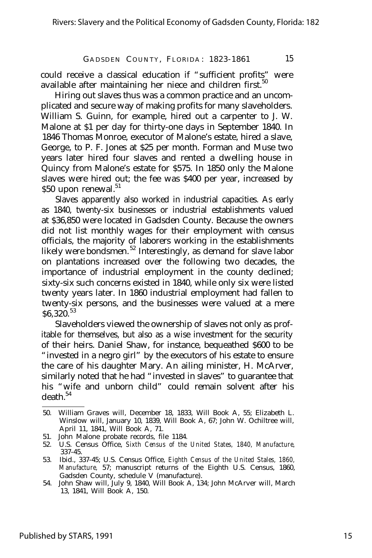could receive a classical education if "sufficient profits" were available after maintaining her niece and children first.<sup>50</sup>

Hiring out slaves thus was a common practice and an uncomplicated and secure way of making profits for many slaveholders. William S. Guinn, for example, hired out a carpenter to J. W. Malone at \$1 per day for thirty-one days in September 1840. In 1846 Thomas Monroe, executor of Malone's estate, hired a slave, George, to P. F. Jones at \$25 per month. Forman and Muse two years later hired four slaves and rented a dwelling house in Quincy from Malone's estate for \$575. In 1850 only the Malone slaves were hired out; the fee was \$400 per year, increased by \$50 upon renewal.<sup>51</sup>

Slaves apparently also worked in industrial capacities. As early as 1840, twenty-six businesses or industrial establishments valued at \$36,850 were located in Gadsden County. Because the owners did not list monthly wages for their employment with census officials, the majority of laborers working in the establishments likely were bondsmen. <sup>52</sup> Interestingly, as demand for slave labor on plantations increased over the following two decades, the importance of industrial employment in the county declined; sixty-six such concerns existed in 1840, while only six were listed twenty years later. In 1860 industrial employment had fallen to twenty-six persons, and the businesses were valued at a mere \$6,320.<sup>53</sup>

Slaveholders viewed the ownership of slaves not only as profitable for themselves, but also as a wise investment for the security of their heirs. Daniel Shaw, for instance, bequeathed \$600 to be "invested in a negro girl" by the executors of his estate to ensure the care of his daughter Mary. An ailing minister, H. McArver, similarly noted that he had "invested in slaves" to guarantee that his "wife and unborn child" could remain solvent after his  $death.<sup>54</sup>$ 

- 51. John Malone probate records, file 1184.
- 52. U.S. Census Office, *Sixth Census of the United States, 1840, Manufacture,* 337-45.
- 53. Ibid., 337-45; U.S. Census Office, *Eighth Census of the United Stales, 1860, Manufacture,* 57; manuscript returns of the Eighth U.S. Census, 1860, Gadsden County, schedule V (manufacture).
- 54. John Shaw will, July 9, 1840, Will Book A, 134; John McArver will, March 13, 1841, Will Book A, 150.

<sup>50.</sup> William Graves will, December 18, 1833, Will Book A, 55; Elizabeth L. Winslow will, January 10, 1839, Will Book A, 67; John W. Ochiltree will, April 11, 1841, Will Book A, 71.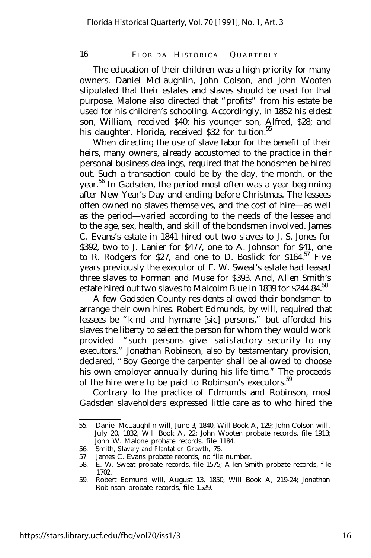The education of their children was a high priority for many owners. Daniel McLaughlin, John Colson, and John Wooten stipulated that their estates and slaves should be used for that purpose. Malone also directed that "profits" from his estate be used for his children's schooling. Accordingly, in 1852 his eldest son, William, received \$40; his younger son, Alfred, \$28; and his daughter, Florida, received \$32 for tuition.<sup>55</sup>

When directing the use of slave labor for the benefit of their heirs, many owners, already accustomed to the practice in their personal business dealings, required that the bondsmen be hired out. Such a transaction could be by the day, the month, or the year.<sup>56</sup> In Gadsden, the period most often was a year beginning after New Year's Day and ending before Christmas. The lessees often owned no slaves themselves, and the cost of hire— as well as the period— varied according to the needs of the lessee and to the age, sex, health, and skill of the bondsmen involved. James C. Evans's estate in 1841 hired out two slaves to J. S. Jones for \$392, two to J. Lanier for \$477, one to A. Johnson for \$41, one to R. Rodgers for \$27, and one to D. Boslick for \$164.<sup>57</sup> Five years previously the executor of E. W. Sweat's estate had leased three slaves to Forman and Muse for \$393. And, Allen Smith's estate hired out two slaves to Malcolm Blue in 1839 for \$244.84.<sup>58</sup>

A few Gadsden County residents allowed their bondsmen to arrange their own hires. Robert Edmunds, by will, required that lessees be "kind and hymane [sic] persons," but afforded his slaves the liberty to select the person for whom they would work provided "such persons give satisfactory security to my executors." Jonathan Robinson, also by testamentary provision, declared, "Boy George the carpenter shall be allowed to choose his own employer annually during his life time." The proceeds of the hire were to be paid to Robinson's executors.<sup>59</sup>

Contrary to the practice of Edmunds and Robinson, most Gadsden slaveholders expressed little care as to who hired the

<sup>55.</sup> Daniel McLaughlin will, June 3, 1840, Will Book A, 129; John Colson will, July 20, 1832, Will Book A, 22; John Wooten probate records, file 1913; John W. Malone probate records, file 1184.

<sup>56.</sup> Smith, *Slavery and Plantation Growth,* 75.

<sup>57.</sup> James C. Evans probate records, no file number.

<sup>58.</sup> E. W. Sweat probate records, file 1575; Allen Smith probate records, file 1702.

<sup>59.</sup> Robert Edmund will, August 13, 1850, Will Book A, 219-24; Jonathan Robinson probate records, file 1529.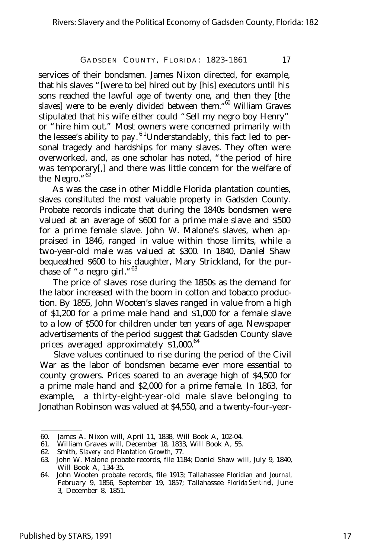services of their bondsmen. James Nixon directed, for example, that his slaves "[were to be] hired out by [his] executors until his sons reached the lawful age of twenty one, and then they [the slaves] were to be evenly divided between them."<sup>60</sup> William Graves stipulated that his wife either could "Sell my negro boy Henry" or "hire him out." Most owners were concerned primarily with the lessee's ability to pay. <sup>61</sup> Understandably, this fact led to personal tragedy and hardships for many slaves. They often were overworked, and, as one scholar has noted, "the period of hire was temporary[,] and there was little concern for the welfare of the Negro."<sup>62</sup>

As was the case in other Middle Florida plantation counties, slaves constituted the most valuable property in Gadsden County. Probate records indicate that during the 1840s bondsmen were valued at an average of \$600 for a prime male slave and \$500 for a prime female slave. John W. Malone's slaves, when appraised in 1846, ranged in value within those limits, while a two-year-old male was valued at \$300. In 1840, Daniel Shaw bequeathed \$600 to his daughter, Mary Strickland, for the purchase of "a negro girl."<sup>63</sup>

The price of slaves rose during the 1850s as the demand for the labor increased with the boom in cotton and tobacco production. By 1855, John Wooten's slaves ranged in value from a high of \$1,200 for a prime male hand and \$1,000 for a female slave to a low of \$500 for children under ten years of age. Newspaper advertisements of the period suggest that Gadsden County slave prices averaged approximately \$1,000.<sup>64</sup>

Slave values continued to rise during the period of the Civil War as the labor of bondsmen became ever more essential to county growers. Prices soared to an average high of \$4,500 for a prime male hand and \$2,000 for a prime female. In 1863, for example, a thirty-eight-year-old male slave belonging to Jonathan Robinson was valued at \$4,550, and a twenty-four-year-

<sup>60.</sup> James A. Nixon will, April 11, 1838, Will Book A, 102-04.

<sup>61.</sup> William Graves will, December 18, 1833, Will Book A, 55.

<sup>62.</sup> Smith, *Slavery and Plantation Growth,* 77.

<sup>63.</sup> John W. Malone probate records, file 1184; Daniel Shaw will, July 9, 1840, Will Book A, 134-35.

<sup>64.</sup> John Wooten probate records, file 1913; Tallahassee *Floridian and Journal,* February 9, 1856, September 19, 1857; Tallahassee *Florida Sentinel,* June 3, December 8, 1851.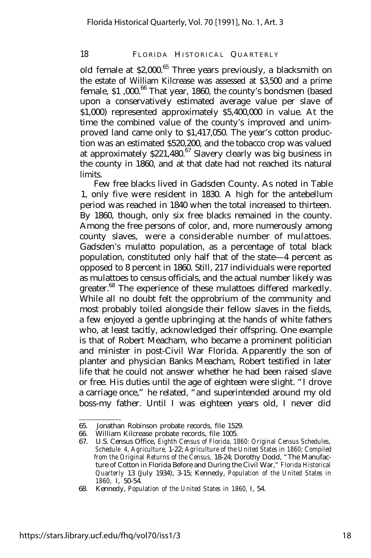old female at  $$2,000.<sup>65</sup>$  Three years previously, a blacksmith on the estate of William Kilcrease was assessed at \$3,500 and a prime female, \$1,000.<sup>66</sup> That year, 1860, the county's bondsmen (based upon a conservatively estimated average value per slave of \$1,000) represented approximately \$5,400,000 in value. At the time the combined value of the county's improved and unimproved land came only to \$1,417,050. The year's cotton production was an estimated \$520,200, and the tobacco crop was valued at approximately  $$221,480$ <sup>67</sup> Slavery clearly was big business in the county in 1860, and at that date had not reached its natural limits.

Few free blacks lived in Gadsden County. As noted in Table 1, only five were resident in 1830. A high for the antebellum period was reached in 1840 when the total increased to thirteen. By 1860, though, only six free blacks remained in the county. Among the free persons of color, and, more numerously among county slaves, were a considerable number of mulattoes. Gadsden's mulatto population, as a percentage of total black population, constituted only half that of the state— 4 percent as opposed to 8 percent in 1860. Still, 217 individuals were reported as mulattoes to census officials, and the actual number likely was greater.<sup>68</sup> The experience of these mulattoes differed markedly. While all no doubt felt the opprobrium of the community and most probably toiled alongside their fellow slaves in the fields, a few enjoyed a gentle upbringing at the hands of white fathers who, at least tacitly, acknowledged their offspring. One example is that of Robert Meacham, who became a prominent politician and minister in post-Civil War Florida. Apparently the son of planter and physician Banks Meacham, Robert testified in later life that he could not answer whether he had been raised slave or free. His duties until the age of eighteen were slight. "I drove a carriage once," he related, "and superintended around my old boss-my father. Until I was eighteen years old, I never did

<sup>65.</sup> Jonathan Robinson probate records, file 1529.

<sup>66.</sup> William Kilcrease probate records, file 1005.<br>67. U.S. Census Office, Eighth Census of Florida. 18

<sup>67.</sup> U.S. Census Office, *Eighth Census of Florida, 1860: Original Census Schedules, Schedule 4, Agriculture,* 1-22; *Agriculture of the United States in 1860; Compiled from the Original Returns of the Census,* 18-24; Dorothy Dodd, "The Manufacture of Cotton in Florida Before and During the Civil War," *Florida Historical Quarterly* 13 (July 1934), 3-15; Kennedy, *Population of the United States in 1860,* I, 50-54.

<sup>68.</sup> Kennedy, *Population of the United States in 1860,* I, 54.